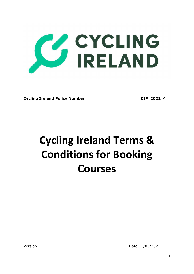

Cycling Ireland Policy Number CIP 2022 4

# Cycling Ireland Terms & Conditions for Booking Courses

Version 1 Date 11/03/2021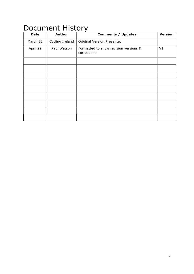| .<br>.      |                 |                                                       |                |  |
|-------------|-----------------|-------------------------------------------------------|----------------|--|
| <b>Date</b> | <b>Author</b>   | <b>Comments / Updates</b>                             | <b>Version</b> |  |
| March 22    | Cycling Ireland | Original Version Presented                            |                |  |
| April 22    | Paul Watson     | Formatted to allow revision versions &<br>corrections | V1             |  |
|             |                 |                                                       |                |  |
|             |                 |                                                       |                |  |
|             |                 |                                                       |                |  |
|             |                 |                                                       |                |  |
|             |                 |                                                       |                |  |
|             |                 |                                                       |                |  |
|             |                 |                                                       |                |  |
|             |                 |                                                       |                |  |
|             |                 |                                                       |                |  |

## Document History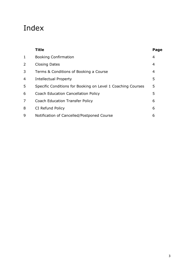## Index

|   | <b>Title</b>                                                | Page |
|---|-------------------------------------------------------------|------|
| 1 | <b>Booking Confirmation</b>                                 | 4    |
| 2 | <b>Closing Dates</b>                                        | 4    |
| 3 | Terms & Conditions of Booking a Course                      | 4    |
| 4 | Intellectual Property                                       | 5    |
| 5 | Specific Conditions for Booking on Level 1 Coaching Courses | 5    |
| 6 | <b>Coach Education Cancellation Policy</b>                  | 5    |
| 7 | <b>Coach Education Transfer Policy</b>                      | 6    |
| 8 | CI Refund Policy                                            | 6    |
| 9 | Notification of Cancelled/Postponed Course                  | 6    |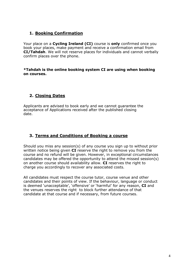#### 1. Booking Confirmation

Your place on a Cvcling Ireland (CI) course is only confirmed once you book your places, make payment and receive a confirmation email from CI/Tahdah. We will not reserve places for individuals and cannot verbally confirm places over the phone.

#### \*Tahdah is the online booking system CI are using when booking on courses.

#### 2. Closing Dates

Applicants are advised to book early and we cannot guarantee the acceptance of Applications received after the published closing date.

#### 3. Terms and Conditions of Booking a course

Should you miss any session(s) of any course you sign up to without prior written notice being given **CI** reserve the right to remove you from the course and no refund will be given. However, in exceptional circumstances candidates may be offered the opportunity to attend the missed session(s) on another course should availability allow. CI reserves the right to charge you accordingly to recover any associated costs.

All candidates must respect the course tutor, course venue and other candidates and their points of view. If the behaviour, language or conduct is deemed 'unacceptable', 'offensive' or 'harmful' for any reason, CI and the venues reserves the right to block further attendance of that candidate at that course and if necessary, from future courses.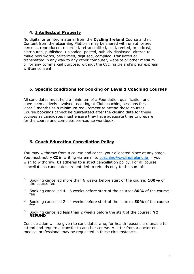#### 4. Intellectual Property

No digital or printed material from the Cycling Ireland Course and no Content from the eLearning Platform may be shared with unauthorized persons, reproduced, recorded, retransmitted, sold, rented, broadcast, distributed, published, uploaded, posted, publicly displayed, altered to make new works, performed, digitised, compiled, translated or transmitted in any way to any other computer, website or other medium or for any commercial purpose, without the Cycling Ireland's prior express written consent

#### 5. Specific conditions for booking on Level 1 Coaching Courses

All candidates must hold a minimum of a Foundation qualification and have been actively involved assisting at Club coaching sessions for at least 3 months as a minimum requirement to attend these courses. Course bookings cannot be guaranteed after the closing date for these courses as candidates must ensure they have adequate time to prepare for the course and complete pre-course workbook.

#### 6. Coach Education Cancellation Policy

You may withdraw from a course and cancel your allocated place at any stage. You must notify  $CI$  in writing via email to coaching @cyclingireland.ie if you wish to withdraw. CI adheres to a strict cancellation policy. For all course cancellations candidates are entitled to refunds only to the sum of:

- $\Box$  Booking cancelled more than 6 weeks before start of the course: 100% of the course fee
- $\Box$  Booking cancelled 4 6 weeks before start of the course: 80% of the course fee
- $\Box$  Booking cancelled 2 4 weeks before start of the course: **50%** of the course fee
- $\Box$  Booking cancelled less than 2 weeks before the start of the course: NO REFUND

Consideration will be given to candidates who, for health reasons are unable to attend and require a transfer to another course. A letter from a doctor or medical professional may be requested in these circumstances.